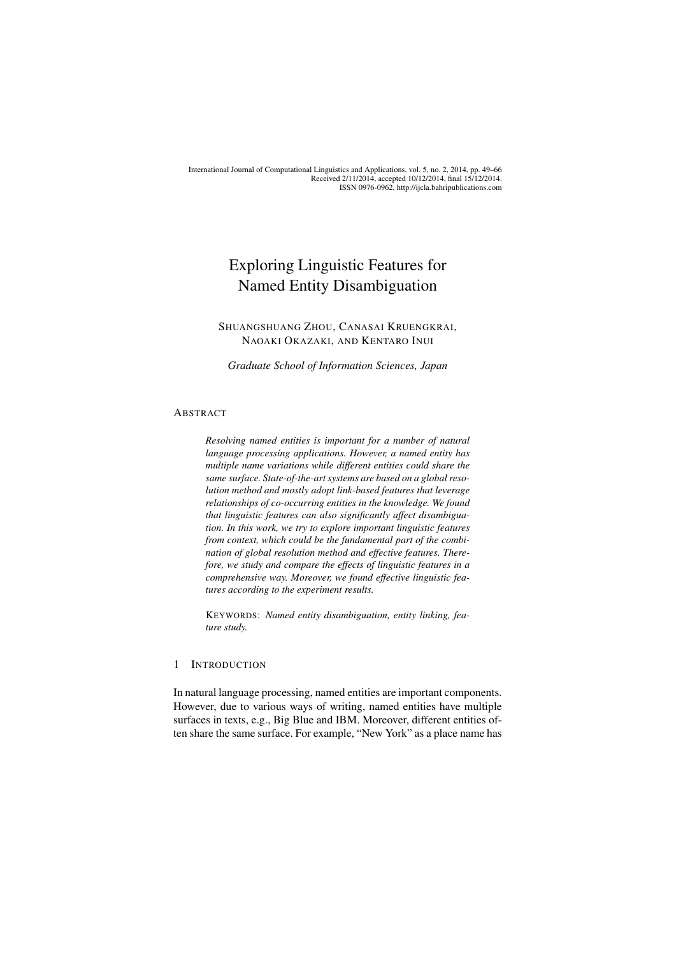International Journal of Computational Linguistics and Applications, vol. 5, no. 2, 2014, pp. 49–66 Received 2/11/2014, accepted 10/12/2014, final 15/12/2014. ISSN 0976-0962, http://ijcla.bahripublications.com

# Exploring Linguistic Features for Named Entity Disambiguation

# SHUANGSHUANG ZHOU, CANASAI KRUENGKRAI, NAOAKI OKAZAKI, AND KENTARO INUI

*Graduate School of Information Sciences, Japan*

#### ABSTRACT

*Resolving named entities is important for a number of natural language processing applications. However, a named entity has multiple name variations while different entities could share the same surface. State-of-the-art systems are based on a global resolution method and mostly adopt link-based features that leverage relationships of co-occurring entities in the knowledge. We found that linguistic features can also significantly affect disambiguation. In this work, we try to explore important linguistic features from context, which could be the fundamental part of the combination of global resolution method and effective features. Therefore, we study and compare the effects of linguistic features in a comprehensive way. Moreover, we found effective linguistic features according to the experiment results.*

KEYWORDS: *Named entity disambiguation, entity linking, feature study.*

# 1 INTRODUCTION

In natural language processing, named entities are important components. However, due to various ways of writing, named entities have multiple surfaces in texts, e.g., Big Blue and IBM. Moreover, different entities often share the same surface. For example, "New York" as a place name has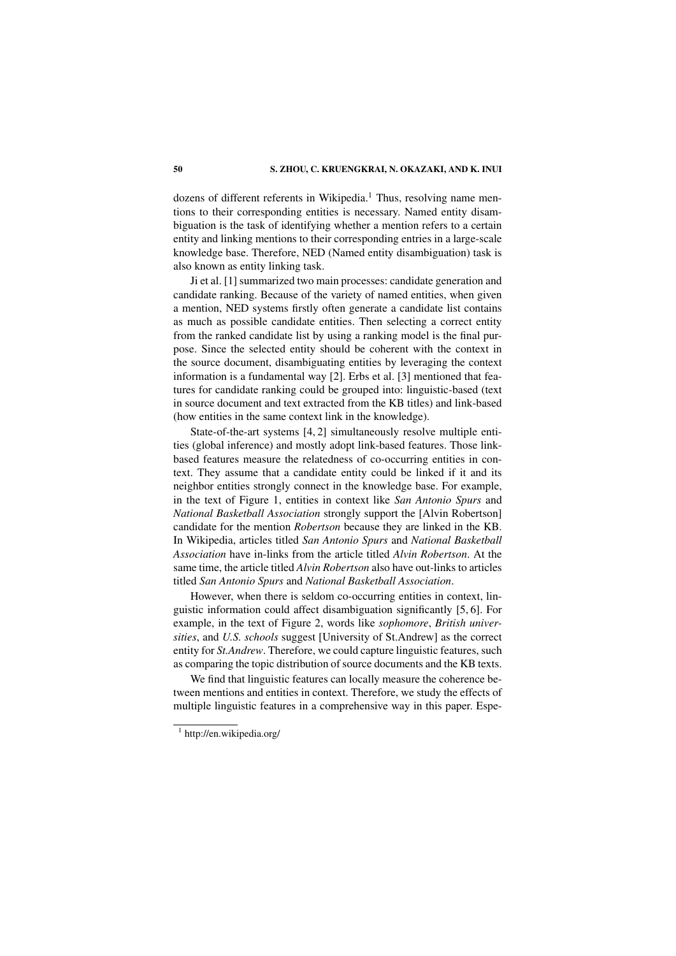dozens of different referents in Wikipedia.<sup>1</sup> Thus, resolving name mentions to their corresponding entities is necessary. Named entity disambiguation is the task of identifying whether a mention refers to a certain entity and linking mentions to their corresponding entries in a large-scale knowledge base. Therefore, NED (Named entity disambiguation) task is also known as entity linking task.

Ji et al. [1] summarized two main processes: candidate generation and candidate ranking. Because of the variety of named entities, when given a mention, NED systems firstly often generate a candidate list contains as much as possible candidate entities. Then selecting a correct entity from the ranked candidate list by using a ranking model is the final purpose. Since the selected entity should be coherent with the context in the source document, disambiguating entities by leveraging the context information is a fundamental way [2]. Erbs et al. [3] mentioned that features for candidate ranking could be grouped into: linguistic-based (text in source document and text extracted from the KB titles) and link-based (how entities in the same context link in the knowledge).

State-of-the-art systems [4, 2] simultaneously resolve multiple entities (global inference) and mostly adopt link-based features. Those linkbased features measure the relatedness of co-occurring entities in context. They assume that a candidate entity could be linked if it and its neighbor entities strongly connect in the knowledge base. For example, in the text of Figure 1, entities in context like *San Antonio Spurs* and *National Basketball Association* strongly support the [Alvin Robertson] candidate for the mention *Robertson* because they are linked in the KB. In Wikipedia, articles titled *San Antonio Spurs* and *National Basketball Association* have in-links from the article titled *Alvin Robertson*. At the same time, the article titled *Alvin Robertson* also have out-links to articles titled *San Antonio Spurs* and *National Basketball Association*.

However, when there is seldom co-occurring entities in context, linguistic information could affect disambiguation significantly [5, 6]. For example, in the text of Figure 2, words like *sophomore*, *British universities*, and *U.S. schools* suggest [University of St.Andrew] as the correct entity for *St.Andrew*. Therefore, we could capture linguistic features, such as comparing the topic distribution of source documents and the KB texts.

We find that linguistic features can locally measure the coherence between mentions and entities in context. Therefore, we study the effects of multiple linguistic features in a comprehensive way in this paper. Espe-

<sup>1</sup> http://en.wikipedia.org/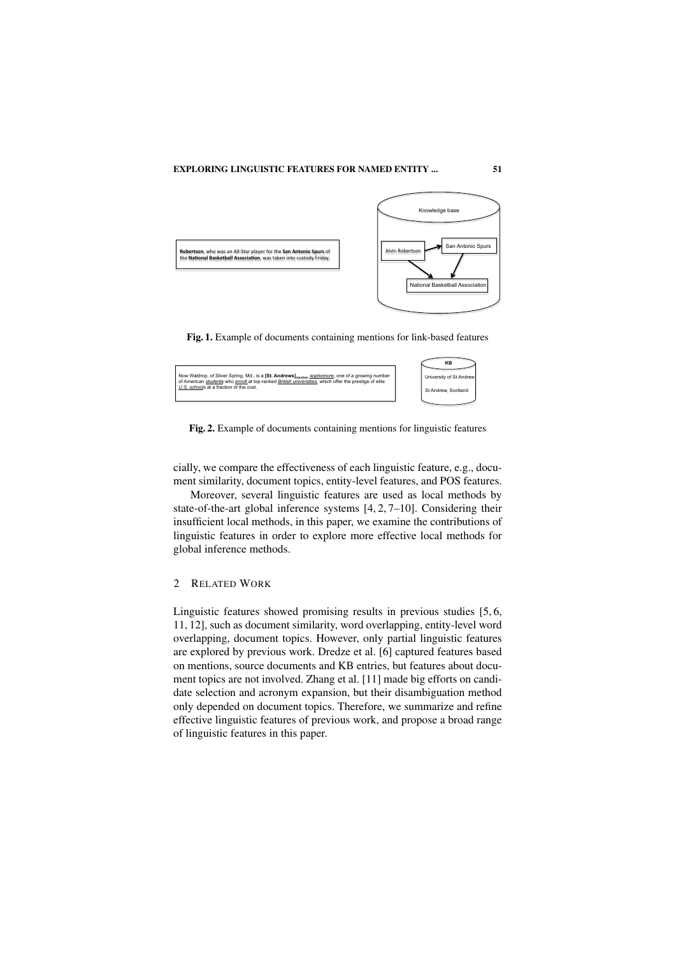

Fig. 1. Example of documents containing mentions for link-based features



Fig. 2. Example of documents containing mentions for linguistic features

cially, we compare the effectiveness of each linguistic feature, e.g., document similarity, document topics, entity-level features, and POS features.

Moreover, several linguistic features are used as local methods by state-of-the-art global inference systems [4, 2, 7–10]. Considering their insufficient local methods, in this paper, we examine the contributions of linguistic features in order to explore more effective local methods for global inference methods.

# 2 RELATED WORK

Linguistic features showed promising results in previous studies [5, 6, 11, 12], such as document similarity, word overlapping, entity-level word overlapping, document topics. However, only partial linguistic features are explored by previous work. Dredze et al. [6] captured features based on mentions, source documents and KB entries, but features about document topics are not involved. Zhang et al. [11] made big efforts on candidate selection and acronym expansion, but their disambiguation method only depended on document topics. Therefore, we summarize and refine effective linguistic features of previous work, and propose a broad range of linguistic features in this paper.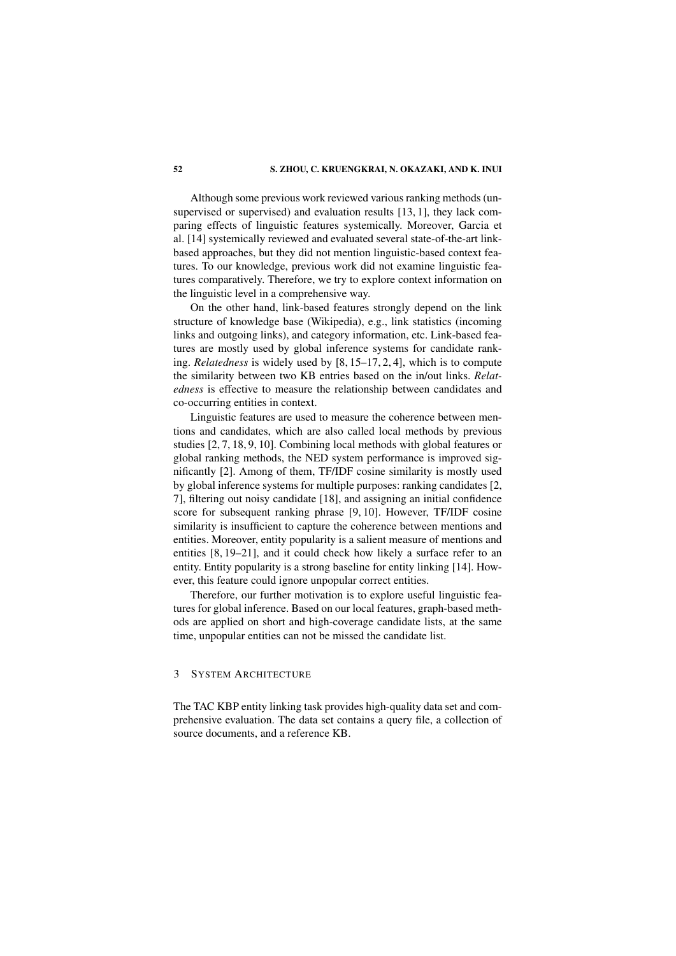Although some previous work reviewed various ranking methods (unsupervised or supervised) and evaluation results [13, 1], they lack comparing effects of linguistic features systemically. Moreover, Garcia et al. [14] systemically reviewed and evaluated several state-of-the-art linkbased approaches, but they did not mention linguistic-based context features. To our knowledge, previous work did not examine linguistic features comparatively. Therefore, we try to explore context information on the linguistic level in a comprehensive way.

On the other hand, link-based features strongly depend on the link structure of knowledge base (Wikipedia), e.g., link statistics (incoming links and outgoing links), and category information, etc. Link-based features are mostly used by global inference systems for candidate ranking. *Relatedness* is widely used by [8, 15–17, 2, 4], which is to compute the similarity between two KB entries based on the in/out links. *Relatedness* is effective to measure the relationship between candidates and co-occurring entities in context.

Linguistic features are used to measure the coherence between mentions and candidates, which are also called local methods by previous studies [2, 7, 18, 9, 10]. Combining local methods with global features or global ranking methods, the NED system performance is improved significantly [2]. Among of them, TF/IDF cosine similarity is mostly used by global inference systems for multiple purposes: ranking candidates [2, 7], filtering out noisy candidate [18], and assigning an initial confidence score for subsequent ranking phrase [9, 10]. However, TF/IDF cosine similarity is insufficient to capture the coherence between mentions and entities. Moreover, entity popularity is a salient measure of mentions and entities [8, 19–21], and it could check how likely a surface refer to an entity. Entity popularity is a strong baseline for entity linking [14]. However, this feature could ignore unpopular correct entities.

Therefore, our further motivation is to explore useful linguistic features for global inference. Based on our local features, graph-based methods are applied on short and high-coverage candidate lists, at the same time, unpopular entities can not be missed the candidate list.

# 3 SYSTEM ARCHITECTURE

The TAC KBP entity linking task provides high-quality data set and comprehensive evaluation. The data set contains a query file, a collection of source documents, and a reference KB.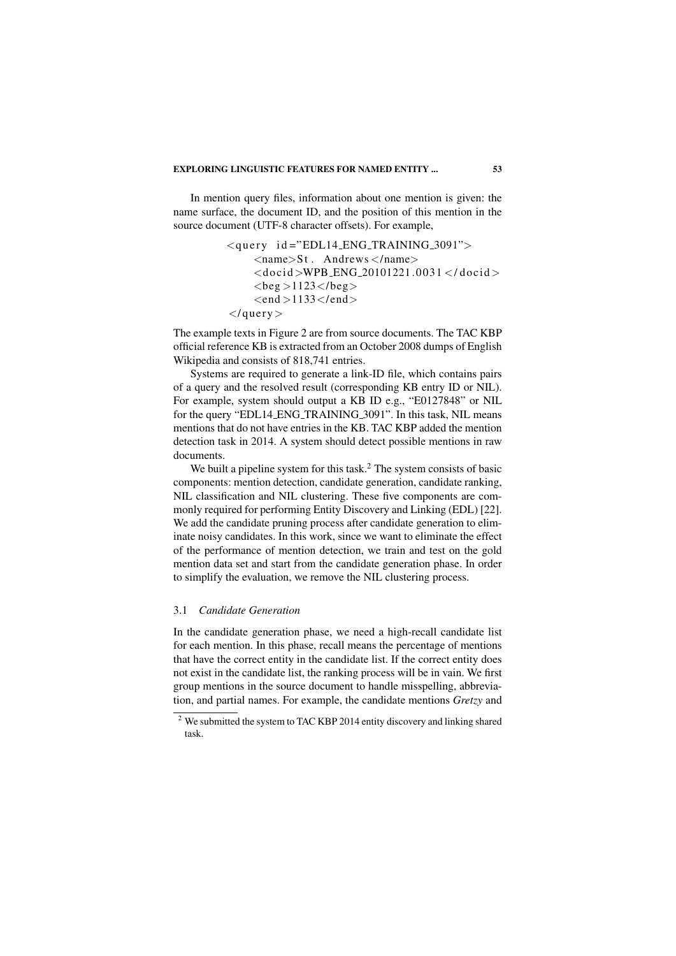### EXPLORING LINGUISTIC FEATURES FOR NAMED ENTITY ... 53

In mention query files, information about one mention is given: the name surface, the document ID, and the position of this mention in the source document (UTF-8 character offsets). For example,

```
\langlequery id="EDL14_ENG_TRAINING_3091">
\langlename>\St. Andrews \langle/name>\<docid>WPB_ENG_20101221.0031</docid>
<beg >1123</beg >
\langleend >1133\langle/end>\langle/query>
```
The example texts in Figure 2 are from source documents. The TAC KBP official reference KB is extracted from an October 2008 dumps of English Wikipedia and consists of 818,741 entries.

Systems are required to generate a link-ID file, which contains pairs of a query and the resolved result (corresponding KB entry ID or NIL). For example, system should output a KB ID e.g., "E0127848" or NIL for the query "EDL14 ENG TRAINING 3091". In this task, NIL means mentions that do not have entries in the KB. TAC KBP added the mention detection task in 2014. A system should detect possible mentions in raw documents.

We built a pipeline system for this task.<sup>2</sup> The system consists of basic components: mention detection, candidate generation, candidate ranking, NIL classification and NIL clustering. These five components are commonly required for performing Entity Discovery and Linking (EDL) [22]. We add the candidate pruning process after candidate generation to eliminate noisy candidates. In this work, since we want to eliminate the effect of the performance of mention detection, we train and test on the gold mention data set and start from the candidate generation phase. In order to simplify the evaluation, we remove the NIL clustering process.

### 3.1 *Candidate Generation*

In the candidate generation phase, we need a high-recall candidate list for each mention. In this phase, recall means the percentage of mentions that have the correct entity in the candidate list. If the correct entity does not exist in the candidate list, the ranking process will be in vain. We first group mentions in the source document to handle misspelling, abbreviation, and partial names. For example, the candidate mentions *Gretzy* and

<sup>&</sup>lt;sup>2</sup> We submitted the system to TAC KBP 2014 entity discovery and linking shared task.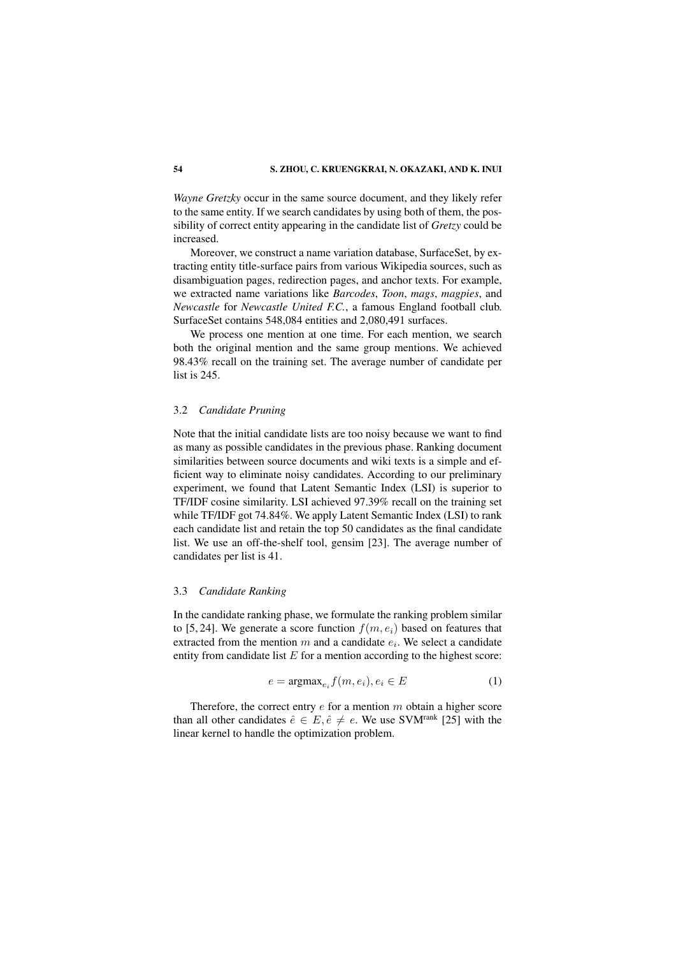*Wayne Gretzky* occur in the same source document, and they likely refer to the same entity. If we search candidates by using both of them, the possibility of correct entity appearing in the candidate list of *Gretzy* could be increased.

Moreover, we construct a name variation database, SurfaceSet, by extracting entity title-surface pairs from various Wikipedia sources, such as disambiguation pages, redirection pages, and anchor texts. For example, we extracted name variations like *Barcodes*, *Toon*, *mags*, *magpies*, and *Newcastle* for *Newcastle United F.C.*, a famous England football club. SurfaceSet contains 548,084 entities and 2,080,491 surfaces.

We process one mention at one time. For each mention, we search both the original mention and the same group mentions. We achieved 98.43% recall on the training set. The average number of candidate per list is 245.

#### 3.2 *Candidate Pruning*

Note that the initial candidate lists are too noisy because we want to find as many as possible candidates in the previous phase. Ranking document similarities between source documents and wiki texts is a simple and efficient way to eliminate noisy candidates. According to our preliminary experiment, we found that Latent Semantic Index (LSI) is superior to TF/IDF cosine similarity. LSI achieved 97.39% recall on the training set while TF/IDF got 74.84%. We apply Latent Semantic Index (LSI) to rank each candidate list and retain the top 50 candidates as the final candidate list. We use an off-the-shelf tool, gensim [23]. The average number of candidates per list is 41.

#### 3.3 *Candidate Ranking*

In the candidate ranking phase, we formulate the ranking problem similar to [5, 24]. We generate a score function  $f(m, e_i)$  based on features that extracted from the mention  $m$  and a candidate  $e_i$ . We select a candidate entity from candidate list  $E$  for a mention according to the highest score:

$$
e = \operatorname{argmax}_{e_i} f(m, e_i), e_i \in E \tag{1}
$$

Therefore, the correct entry  $e$  for a mention  $m$  obtain a higher score than all other candidates  $\hat{e} \in E$ ,  $\hat{e} \neq e$ . We use SVM<sup>rank</sup> [25] with the linear kernel to handle the optimization problem.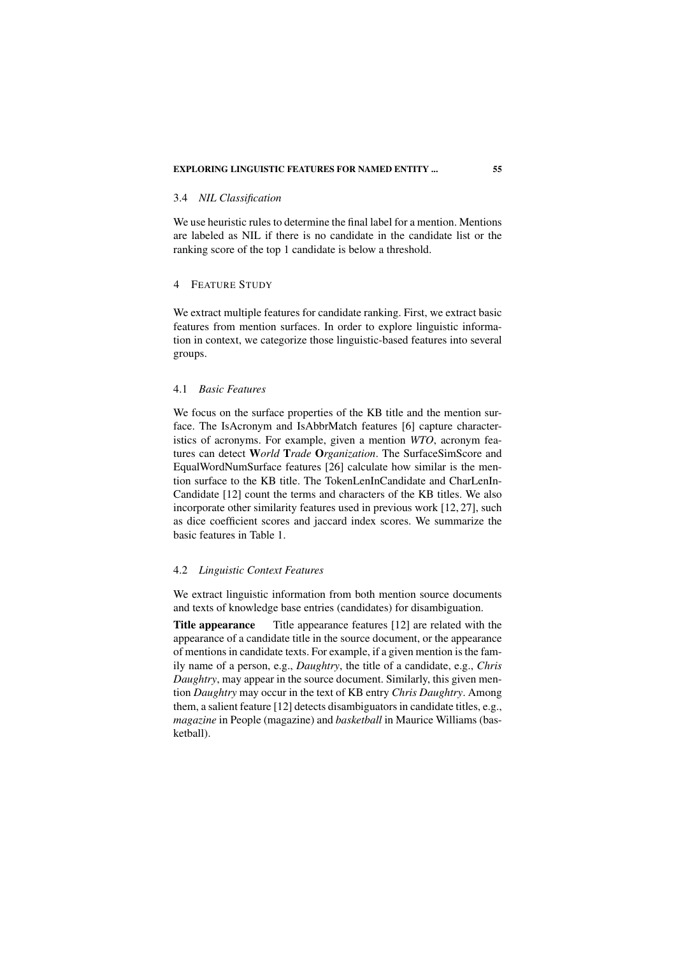#### 3.4 *NIL Classification*

We use heuristic rules to determine the final label for a mention. Mentions are labeled as NIL if there is no candidate in the candidate list or the ranking score of the top 1 candidate is below a threshold.

# 4 FEATURE STUDY

We extract multiple features for candidate ranking. First, we extract basic features from mention surfaces. In order to explore linguistic information in context, we categorize those linguistic-based features into several groups.

# 4.1 *Basic Features*

We focus on the surface properties of the KB title and the mention surface. The IsAcronym and IsAbbrMatch features [6] capture characteristics of acronyms. For example, given a mention *WTO*, acronym features can detect W*orld* T*rade* O*rganization*. The SurfaceSimScore and EqualWordNumSurface features [26] calculate how similar is the mention surface to the KB title. The TokenLenInCandidate and CharLenIn-Candidate [12] count the terms and characters of the KB titles. We also incorporate other similarity features used in previous work [12, 27], such as dice coefficient scores and jaccard index scores. We summarize the basic features in Table 1.

### 4.2 *Linguistic Context Features*

We extract linguistic information from both mention source documents and texts of knowledge base entries (candidates) for disambiguation.

Title appearance Title appearance features [12] are related with the appearance of a candidate title in the source document, or the appearance of mentions in candidate texts. For example, if a given mention is the family name of a person, e.g., *Daughtry*, the title of a candidate, e.g., *Chris Daughtry*, may appear in the source document. Similarly, this given mention *Daughtry* may occur in the text of KB entry *Chris Daughtry*. Among them, a salient feature [12] detects disambiguators in candidate titles, e.g., *magazine* in People (magazine) and *basketball* in Maurice Williams (basketball).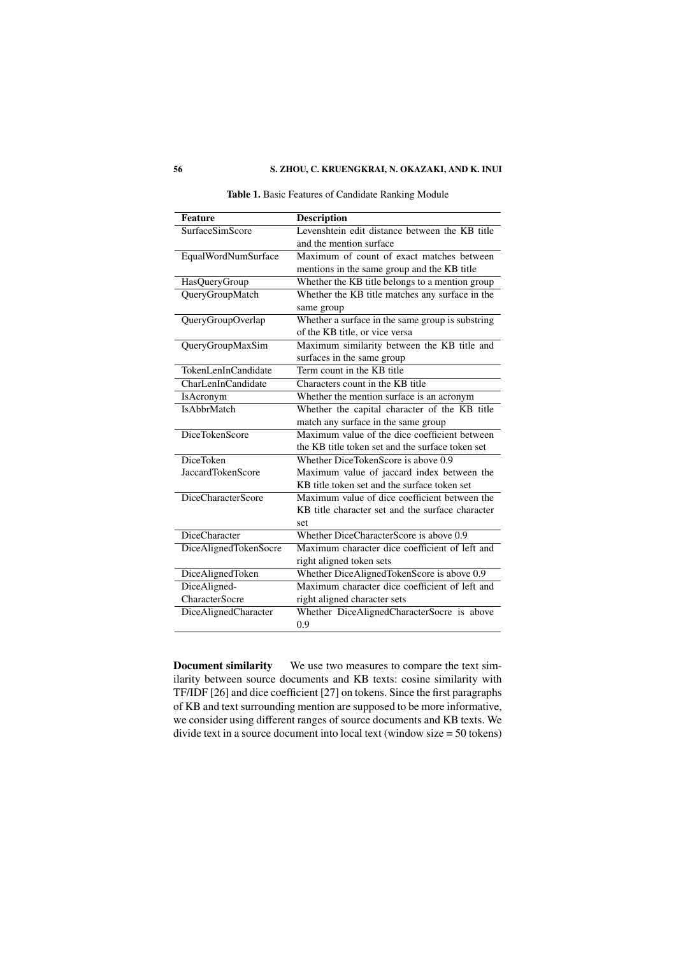# 56 S. ZHOU, C. KRUENGKRAI, N. OKAZAKI, AND K. INUI

| <b>Feature</b>           | <b>Description</b>                               |
|--------------------------|--------------------------------------------------|
| <b>SurfaceSimScore</b>   | Levenshtein edit distance between the KB title   |
|                          | and the mention surface                          |
| EqualWordNumSurface      | Maximum of count of exact matches between        |
|                          | mentions in the same group and the KB title      |
| <b>HasQueryGroup</b>     | Whether the KB title belongs to a mention group  |
| QueryGroupMatch          | Whether the KB title matches any surface in the  |
|                          | same group                                       |
| QueryGroupOverlap        | Whether a surface in the same group is substring |
|                          | of the KB title, or vice versa                   |
| QueryGroupMaxSim         | Maximum similarity between the KB title and      |
|                          | surfaces in the same group                       |
| TokenLenInCandidate      | Term count in the KB title                       |
| CharLenInCandidate       | Characters count in the KB title                 |
| <b>IsAcronym</b>         | Whether the mention surface is an acronym        |
| <b>IsAbbrMatch</b>       | Whether the capital character of the KB title    |
|                          | match any surface in the same group              |
| DiceTokenScore           | Maximum value of the dice coefficient between    |
|                          | the KB title token set and the surface token set |
| <b>DiceToken</b>         | Whether DiceTokenScore is above 0.9              |
| <b>JaccardTokenScore</b> | Maximum value of jaccard index between the       |
|                          | KB title token set and the surface token set     |
| DiceCharacterScore       | Maximum value of dice coefficient between the    |
|                          | KB title character set and the surface character |
|                          | set                                              |
| DiceCharacter            | Whether DiceCharacterScore is above 0.9          |
| DiceAlignedTokenSocre    | Maximum character dice coefficient of left and   |
|                          | right aligned token sets                         |
| DiceAlignedToken         | Whether DiceAlignedTokenScore is above 0.9       |
| DiceAligned-             | Maximum character dice coefficient of left and   |
| <b>CharacterSocre</b>    | right aligned character sets                     |
| DiceAlignedCharacter     | Whether DiceAlignedCharacterSocre is above       |
|                          | 0.9                                              |

Table 1. Basic Features of Candidate Ranking Module

Document similarity We use two measures to compare the text similarity between source documents and KB texts: cosine similarity with TF/IDF [26] and dice coefficient [27] on tokens. Since the first paragraphs of KB and text surrounding mention are supposed to be more informative, we consider using different ranges of source documents and KB texts. We divide text in a source document into local text (window size = 50 tokens)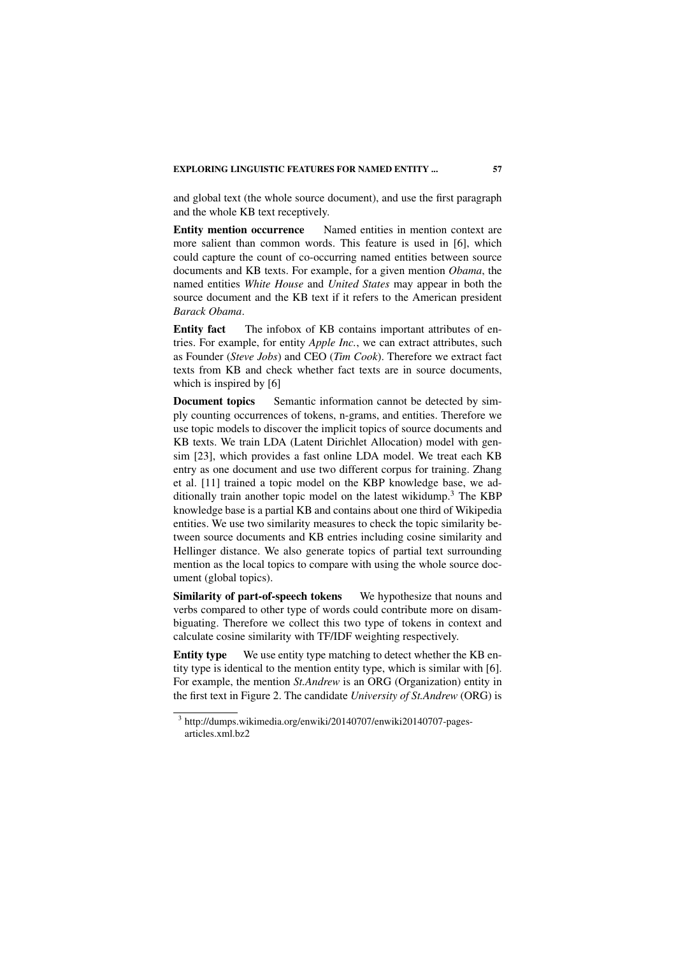and global text (the whole source document), and use the first paragraph and the whole KB text receptively.

Entity mention occurrence Named entities in mention context are more salient than common words. This feature is used in [6], which could capture the count of co-occurring named entities between source documents and KB texts. For example, for a given mention *Obama*, the named entities *White House* and *United States* may appear in both the source document and the KB text if it refers to the American president *Barack Obama*.

Entity fact The infobox of KB contains important attributes of entries. For example, for entity *Apple Inc.*, we can extract attributes, such as Founder (*Steve Jobs*) and CEO (*Tim Cook*). Therefore we extract fact texts from KB and check whether fact texts are in source documents, which is inspired by [6]

**Document topics** Semantic information cannot be detected by simply counting occurrences of tokens, n-grams, and entities. Therefore we use topic models to discover the implicit topics of source documents and KB texts. We train LDA (Latent Dirichlet Allocation) model with gensim [23], which provides a fast online LDA model. We treat each KB entry as one document and use two different corpus for training. Zhang et al. [11] trained a topic model on the KBP knowledge base, we additionally train another topic model on the latest wikidump.<sup>3</sup> The KBP knowledge base is a partial KB and contains about one third of Wikipedia entities. We use two similarity measures to check the topic similarity between source documents and KB entries including cosine similarity and Hellinger distance. We also generate topics of partial text surrounding mention as the local topics to compare with using the whole source document (global topics).

Similarity of part-of-speech tokens We hypothesize that nouns and verbs compared to other type of words could contribute more on disambiguating. Therefore we collect this two type of tokens in context and calculate cosine similarity with TF/IDF weighting respectively.

Entity type We use entity type matching to detect whether the KB entity type is identical to the mention entity type, which is similar with [6]. For example, the mention *St.Andrew* is an ORG (Organization) entity in the first text in Figure 2. The candidate *University of St.Andrew* (ORG) is

<sup>3</sup> http://dumps.wikimedia.org/enwiki/20140707/enwiki20140707-pagesarticles.xml.bz2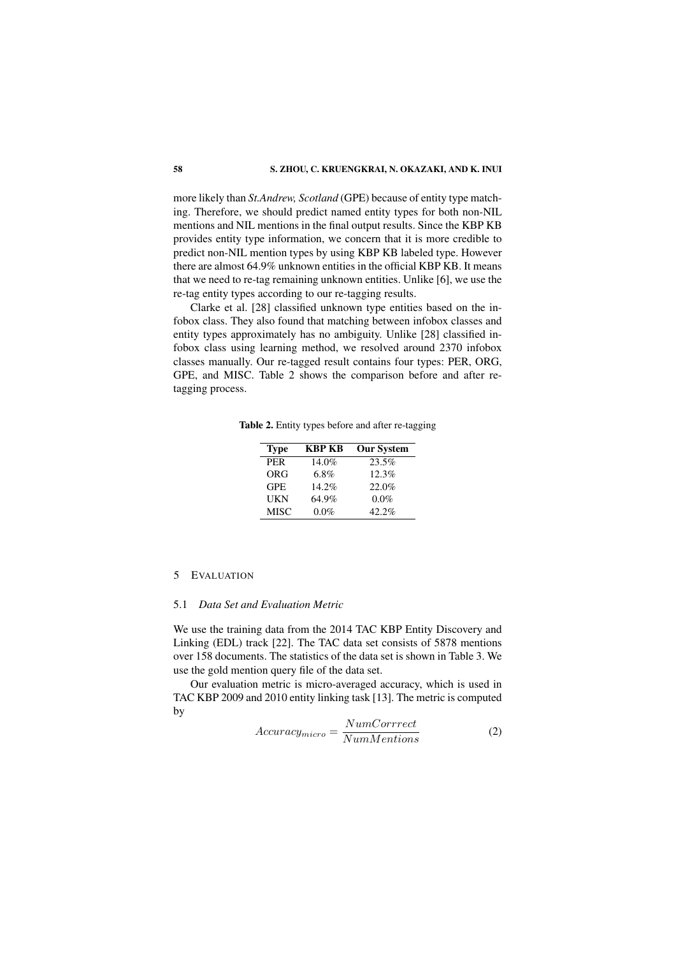more likely than *St.Andrew, Scotland* (GPE) because of entity type matching. Therefore, we should predict named entity types for both non-NIL mentions and NIL mentions in the final output results. Since the KBP KB provides entity type information, we concern that it is more credible to predict non-NIL mention types by using KBP KB labeled type. However there are almost 64.9% unknown entities in the official KBP KB. It means that we need to re-tag remaining unknown entities. Unlike [6], we use the re-tag entity types according to our re-tagging results.

Clarke et al. [28] classified unknown type entities based on the infobox class. They also found that matching between infobox classes and entity types approximately has no ambiguity. Unlike [28] classified infobox class using learning method, we resolved around 2370 infobox classes manually. Our re-tagged result contains four types: PER, ORG, GPE, and MISC. Table 2 shows the comparison before and after retagging process.

Table 2. Entity types before and after re-tagging

| <b>Type</b> | KBP KB  | <b>Our System</b> |
|-------------|---------|-------------------|
| <b>PER</b>  | 14.0%   | 23.5%             |
| <b>ORG</b>  | $6.8\%$ | 12.3%             |
| <b>GPE</b>  | 14.2%   | 22.0%             |
| UKN         | 64.9%   | $0.0\%$           |
| <b>MISC</b> | 0.0%    | $42.2\%$          |

#### 5 EVALUATION

#### 5.1 *Data Set and Evaluation Metric*

We use the training data from the 2014 TAC KBP Entity Discovery and Linking (EDL) track [22]. The TAC data set consists of 5878 mentions over 158 documents. The statistics of the data set is shown in Table 3. We use the gold mention query file of the data set.

Our evaluation metric is micro-averaged accuracy, which is used in TAC KBP 2009 and 2010 entity linking task [13]. The metric is computed by

$$
Accuracy_{micro} = \frac{NumCorrect}{NumMentions}
$$
 (2)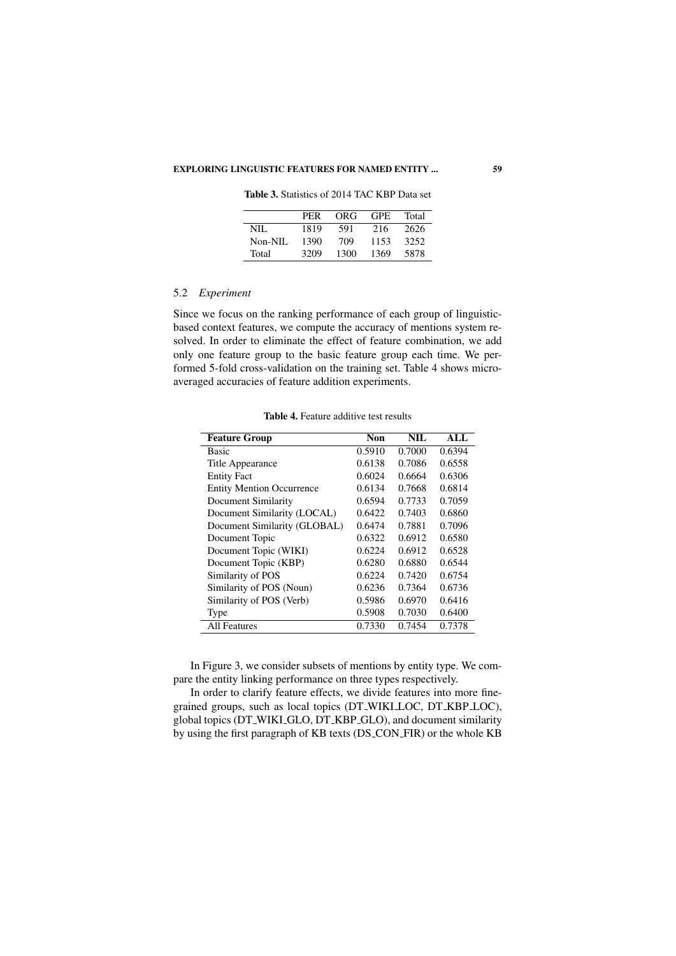# EXPLORING LINGUISTIC FEATURES FOR NAMED ENTITY ... 59

Table 3. Statistics of 2014 TAC KBP Data set

|         | PER  | ORG  | GPE. | Total |
|---------|------|------|------|-------|
| NIL.    | 1819 | 591  | 216  | 2626  |
| Non-NIL | 1390 | 709  | 1153 | 3252  |
| Total   | 3209 | 1300 | 1369 | 5878  |

# 5.2 *Experiment*

Since we focus on the ranking performance of each group of linguisticbased context features, we compute the accuracy of mentions system resolved. In order to eliminate the effect of feature combination, we add only one feature group to the basic feature group each time. We performed 5-fold cross-validation on the training set. Table 4 shows microaveraged accuracies of feature addition experiments.

| <b>Feature Group</b>             | Non    | NIL.   | ALI.   |
|----------------------------------|--------|--------|--------|
| Basic                            | 0.5910 | 0.7000 | 0.6394 |
| Title Appearance                 | 0.6138 | 0.7086 | 0.6558 |
| <b>Entity Fact</b>               | 0.6024 | 0.6664 | 0.6306 |
| <b>Entity Mention Occurrence</b> | 0.6134 | 0.7668 | 0.6814 |
| Document Similarity              | 0.6594 | 0.7733 | 0.7059 |
| Document Similarity (LOCAL)      | 0.6422 | 0.7403 | 0.6860 |
| Document Similarity (GLOBAL)     | 0.6474 | 0.7881 | 0.7096 |
| Document Topic                   | 0.6322 | 0.6912 | 0.6580 |
| Document Topic (WIKI)            | 0.6224 | 0.6912 | 0.6528 |
| Document Topic (KBP)             | 0.6280 | 0.6880 | 0.6544 |
| Similarity of POS                | 0.6224 | 0.7420 | 0.6754 |
| Similarity of POS (Noun)         | 0.6236 | 0.7364 | 0.6736 |
| Similarity of POS (Verb)         | 0.5986 | 0.6970 | 0.6416 |
| Type                             | 0.5908 | 0.7030 | 0.6400 |
| <b>All Features</b>              | 0.7330 | 0.7454 | 0.7378 |

Table 4. Feature additive test results

In Figure 3, we consider subsets of mentions by entity type. We compare the entity linking performance on three types respectively.

In order to clarify feature effects, we divide features into more finegrained groups, such as local topics (DT WIKI LOC, DT KBP LOC), global topics (DT WIKI GLO, DT KBP GLO), and document similarity by using the first paragraph of KB texts (DS CON FIR) or the whole KB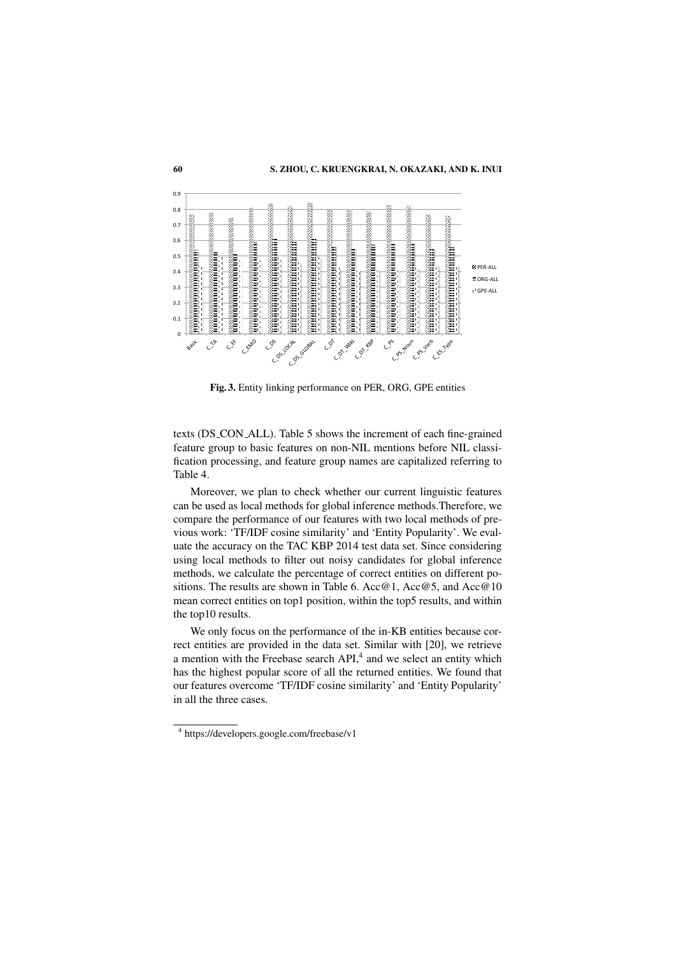

Fig. 3. Entity linking performance on PER, ORG, GPE entities

texts (DS CON ALL). Table 5 shows the increment of each fine-grained feature group to basic features on non-NIL mentions before NIL classification processing, and feature group names are capitalized referring to Table 4.

Moreover, we plan to check whether our current linguistic features can be used as local methods for global inference methods.Therefore, we compare the performance of our features with two local methods of previous work: 'TF/IDF cosine similarity' and 'Entity Popularity'. We evaluate the accuracy on the TAC KBP 2014 test data set. Since considering using local methods to filter out noisy candidates for global inference methods, we calculate the percentage of correct entities on different positions. The results are shown in Table 6. Acc@1, Acc@5, and Acc@10 mean correct entities on top1 position, within the top5 results, and within the top10 results.

We only focus on the performance of the in-KB entities because correct entities are provided in the data set. Similar with [20], we retrieve a mention with the Freebase search  $API<sub>1</sub><sup>4</sup>$  and we select an entity which has the highest popular score of all the returned entities. We found that our features overcome 'TF/IDF cosine similarity' and 'Entity Popularity' in all the three cases.

<sup>4</sup> https://developers.google.com/freebase/v1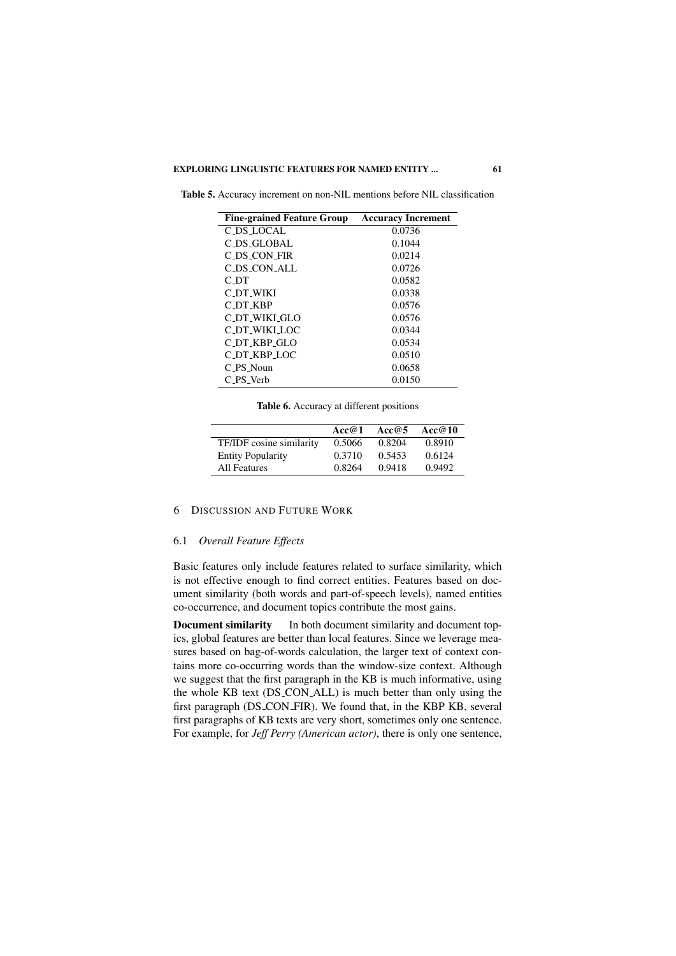| <b>Fine-grained Feature Group</b> | <b>Accuracy Increment</b> |
|-----------------------------------|---------------------------|
| C_DS_LOCAL                        | 0.0736                    |
| C_DS_GLOBAL                       | 0.1044                    |
| C DS CON FIR                      | 0.0214                    |
| C DS CON ALL                      | 0.0726                    |
| C DT                              | 0.0582                    |
| C_DT_WIKI                         | 0.0338                    |
| C DT KBP                          | 0.0576                    |
| C DT WIKI GLO                     | 0.0576                    |
| C_DT_WIKI_I.OC                    | 0.0344                    |
| C_DT_KBP_GLO                      | 0.0534                    |
| C_DT_KBP_LOC                      | 0.0510                    |
| C PS Noun                         | 0.0658                    |
| C PS Verb                         | 0.0150                    |

Table 5. Accuracy increment on non-NIL mentions before NIL classification

Table 6. Accuracy at different positions

|                          | Acc@1  | Acc $@5$ | Acc@10 |
|--------------------------|--------|----------|--------|
| TF/IDF cosine similarity | 0.5066 | 0.8204   | 0.8910 |
| <b>Entity Popularity</b> | 0.3710 | 0.5453   | 0.6124 |
| All Features             | 0.8264 | 0.9418   | 0.9492 |

# 6 DISCUSSION AND FUTURE WORK

# 6.1 *Overall Feature Effects*

Basic features only include features related to surface similarity, which is not effective enough to find correct entities. Features based on document similarity (both words and part-of-speech levels), named entities co-occurrence, and document topics contribute the most gains.

Document similarity In both document similarity and document topics, global features are better than local features. Since we leverage measures based on bag-of-words calculation, the larger text of context contains more co-occurring words than the window-size context. Although we suggest that the first paragraph in the KB is much informative, using the whole KB text (DS CON ALL) is much better than only using the first paragraph (DS CON FIR). We found that, in the KBP KB, several first paragraphs of KB texts are very short, sometimes only one sentence. For example, for *Jeff Perry (American actor)*, there is only one sentence,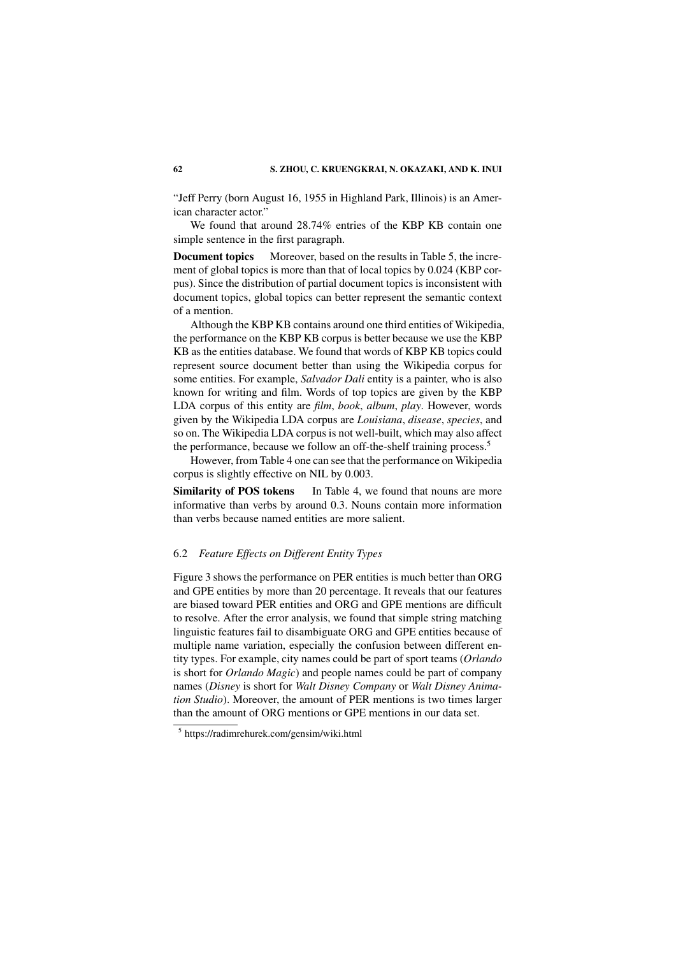"Jeff Perry (born August 16, 1955 in Highland Park, Illinois) is an American character actor."

We found that around 28.74% entries of the KBP KB contain one simple sentence in the first paragraph.

**Document topics** Moreover, based on the results in Table 5, the increment of global topics is more than that of local topics by 0.024 (KBP corpus). Since the distribution of partial document topics is inconsistent with document topics, global topics can better represent the semantic context of a mention.

Although the KBP KB contains around one third entities of Wikipedia, the performance on the KBP KB corpus is better because we use the KBP KB as the entities database. We found that words of KBP KB topics could represent source document better than using the Wikipedia corpus for some entities. For example, *Salvador Dali* entity is a painter, who is also known for writing and film. Words of top topics are given by the KBP LDA corpus of this entity are *film*, *book*, *album*, *play*. However, words given by the Wikipedia LDA corpus are *Louisiana*, *disease*, *species*, and so on. The Wikipedia LDA corpus is not well-built, which may also affect the performance, because we follow an off-the-shelf training process.<sup>5</sup>

However, from Table 4 one can see that the performance on Wikipedia corpus is slightly effective on NIL by 0.003.

Similarity of POS tokens In Table 4, we found that nouns are more informative than verbs by around 0.3. Nouns contain more information than verbs because named entities are more salient.

# 6.2 *Feature Effects on Different Entity Types*

Figure 3 shows the performance on PER entities is much better than ORG and GPE entities by more than 20 percentage. It reveals that our features are biased toward PER entities and ORG and GPE mentions are difficult to resolve. After the error analysis, we found that simple string matching linguistic features fail to disambiguate ORG and GPE entities because of multiple name variation, especially the confusion between different entity types. For example, city names could be part of sport teams (*Orlando* is short for *Orlando Magic*) and people names could be part of company names (*Disney* is short for *Walt Disney Company* or *Walt Disney Animation Studio*). Moreover, the amount of PER mentions is two times larger than the amount of ORG mentions or GPE mentions in our data set.

<sup>5</sup> https://radimrehurek.com/gensim/wiki.html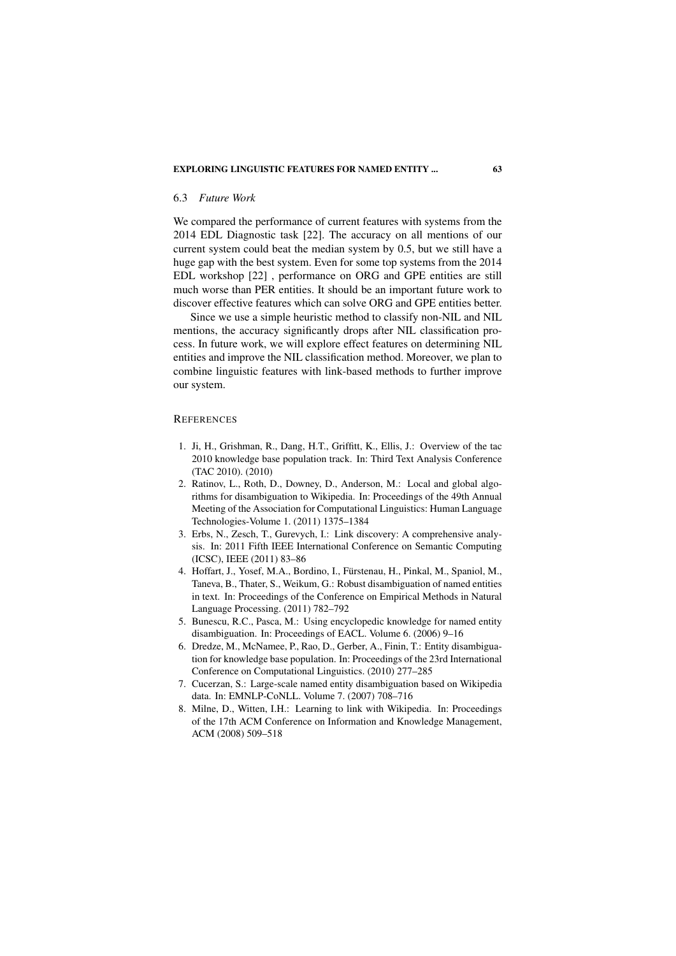#### 6.3 *Future Work*

We compared the performance of current features with systems from the 2014 EDL Diagnostic task [22]. The accuracy on all mentions of our current system could beat the median system by 0.5, but we still have a huge gap with the best system. Even for some top systems from the 2014 EDL workshop [22] , performance on ORG and GPE entities are still much worse than PER entities. It should be an important future work to discover effective features which can solve ORG and GPE entities better.

Since we use a simple heuristic method to classify non-NIL and NIL mentions, the accuracy significantly drops after NIL classification process. In future work, we will explore effect features on determining NIL entities and improve the NIL classification method. Moreover, we plan to combine linguistic features with link-based methods to further improve our system.

#### **REFERENCES**

- 1. Ji, H., Grishman, R., Dang, H.T., Griffitt, K., Ellis, J.: Overview of the tac 2010 knowledge base population track. In: Third Text Analysis Conference (TAC 2010). (2010)
- 2. Ratinov, L., Roth, D., Downey, D., Anderson, M.: Local and global algorithms for disambiguation to Wikipedia. In: Proceedings of the 49th Annual Meeting of the Association for Computational Linguistics: Human Language Technologies-Volume 1. (2011) 1375–1384
- 3. Erbs, N., Zesch, T., Gurevych, I.: Link discovery: A comprehensive analysis. In: 2011 Fifth IEEE International Conference on Semantic Computing (ICSC), IEEE (2011) 83–86
- 4. Hoffart, J., Yosef, M.A., Bordino, I., Fürstenau, H., Pinkal, M., Spaniol, M., Taneva, B., Thater, S., Weikum, G.: Robust disambiguation of named entities in text. In: Proceedings of the Conference on Empirical Methods in Natural Language Processing. (2011) 782–792
- 5. Bunescu, R.C., Pasca, M.: Using encyclopedic knowledge for named entity disambiguation. In: Proceedings of EACL. Volume 6. (2006) 9–16
- 6. Dredze, M., McNamee, P., Rao, D., Gerber, A., Finin, T.: Entity disambiguation for knowledge base population. In: Proceedings of the 23rd International Conference on Computational Linguistics. (2010) 277–285
- 7. Cucerzan, S.: Large-scale named entity disambiguation based on Wikipedia data. In: EMNLP-CoNLL. Volume 7. (2007) 708–716
- 8. Milne, D., Witten, I.H.: Learning to link with Wikipedia. In: Proceedings of the 17th ACM Conference on Information and Knowledge Management, ACM (2008) 509–518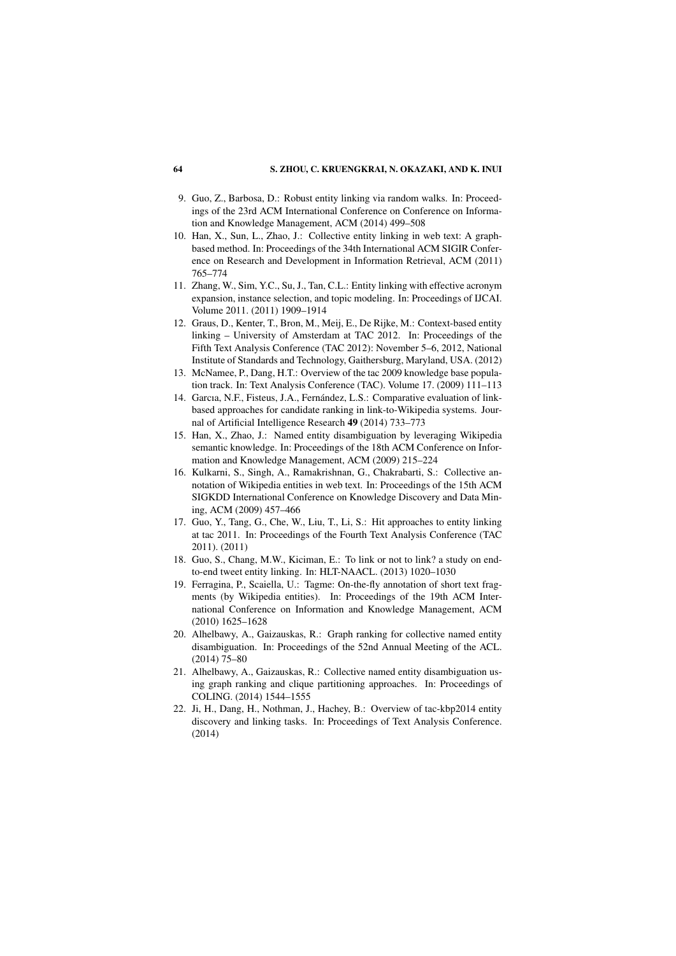- 9. Guo, Z., Barbosa, D.: Robust entity linking via random walks. In: Proceedings of the 23rd ACM International Conference on Conference on Information and Knowledge Management, ACM (2014) 499–508
- 10. Han, X., Sun, L., Zhao, J.: Collective entity linking in web text: A graphbased method. In: Proceedings of the 34th International ACM SIGIR Conference on Research and Development in Information Retrieval, ACM (2011) 765–774
- 11. Zhang, W., Sim, Y.C., Su, J., Tan, C.L.: Entity linking with effective acronym expansion, instance selection, and topic modeling. In: Proceedings of IJCAI. Volume 2011. (2011) 1909–1914
- 12. Graus, D., Kenter, T., Bron, M., Meij, E., De Rijke, M.: Context-based entity linking – University of Amsterdam at TAC 2012. In: Proceedings of the Fifth Text Analysis Conference (TAC 2012): November 5–6, 2012, National Institute of Standards and Technology, Gaithersburg, Maryland, USA. (2012)
- 13. McNamee, P., Dang, H.T.: Overview of the tac 2009 knowledge base population track. In: Text Analysis Conference (TAC). Volume 17. (2009) 111–113
- 14. Garcıa, N.F., Fisteus, J.A., Fernández, L.S.: Comparative evaluation of linkbased approaches for candidate ranking in link-to-Wikipedia systems. Journal of Artificial Intelligence Research 49 (2014) 733–773
- 15. Han, X., Zhao, J.: Named entity disambiguation by leveraging Wikipedia semantic knowledge. In: Proceedings of the 18th ACM Conference on Information and Knowledge Management, ACM (2009) 215–224
- 16. Kulkarni, S., Singh, A., Ramakrishnan, G., Chakrabarti, S.: Collective annotation of Wikipedia entities in web text. In: Proceedings of the 15th ACM SIGKDD International Conference on Knowledge Discovery and Data Mining, ACM (2009) 457–466
- 17. Guo, Y., Tang, G., Che, W., Liu, T., Li, S.: Hit approaches to entity linking at tac 2011. In: Proceedings of the Fourth Text Analysis Conference (TAC 2011). (2011)
- 18. Guo, S., Chang, M.W., Kiciman, E.: To link or not to link? a study on endto-end tweet entity linking. In: HLT-NAACL. (2013) 1020–1030
- 19. Ferragina, P., Scaiella, U.: Tagme: On-the-fly annotation of short text fragments (by Wikipedia entities). In: Proceedings of the 19th ACM International Conference on Information and Knowledge Management, ACM (2010) 1625–1628
- 20. Alhelbawy, A., Gaizauskas, R.: Graph ranking for collective named entity disambiguation. In: Proceedings of the 52nd Annual Meeting of the ACL. (2014) 75–80
- 21. Alhelbawy, A., Gaizauskas, R.: Collective named entity disambiguation using graph ranking and clique partitioning approaches. In: Proceedings of COLING. (2014) 1544–1555
- 22. Ji, H., Dang, H., Nothman, J., Hachey, B.: Overview of tac-kbp2014 entity discovery and linking tasks. In: Proceedings of Text Analysis Conference. (2014)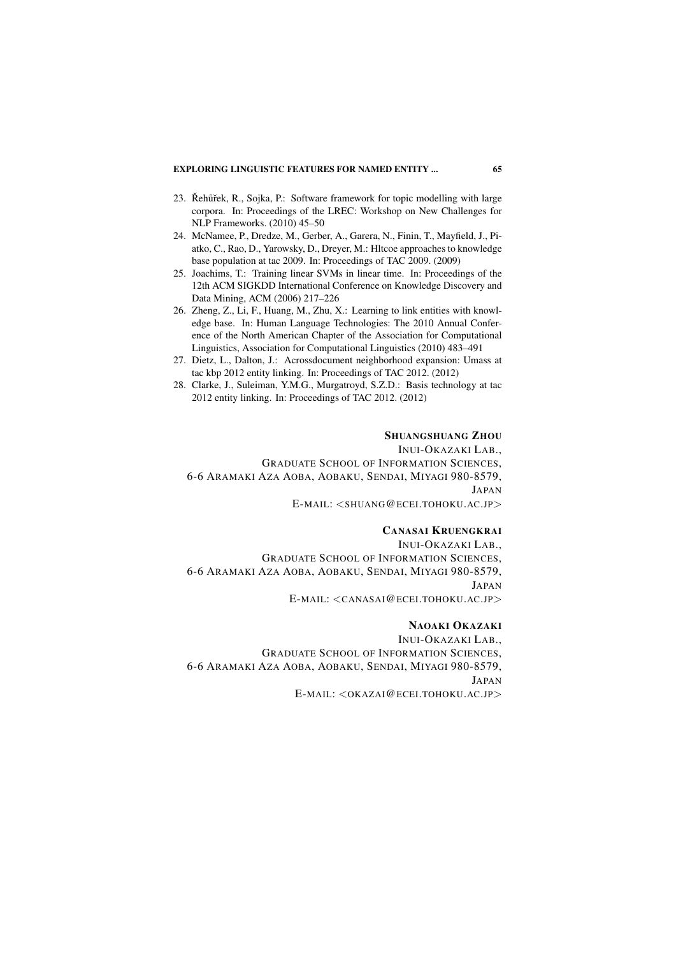- 23. Řehůřek, R., Sojka, P.: Software framework for topic modelling with large corpora. In: Proceedings of the LREC: Workshop on New Challenges for NLP Frameworks. (2010) 45–50
- 24. McNamee, P., Dredze, M., Gerber, A., Garera, N., Finin, T., Mayfield, J., Piatko, C., Rao, D., Yarowsky, D., Dreyer, M.: Hltcoe approaches to knowledge base population at tac 2009. In: Proceedings of TAC 2009. (2009)
- 25. Joachims, T.: Training linear SVMs in linear time. In: Proceedings of the 12th ACM SIGKDD International Conference on Knowledge Discovery and Data Mining, ACM (2006) 217–226
- 26. Zheng, Z., Li, F., Huang, M., Zhu, X.: Learning to link entities with knowledge base. In: Human Language Technologies: The 2010 Annual Conference of the North American Chapter of the Association for Computational Linguistics, Association for Computational Linguistics (2010) 483–491
- 27. Dietz, L., Dalton, J.: Acrossdocument neighborhood expansion: Umass at tac kbp 2012 entity linking. In: Proceedings of TAC 2012. (2012)
- 28. Clarke, J., Suleiman, Y.M.G., Murgatroyd, S.Z.D.: Basis technology at tac 2012 entity linking. In: Proceedings of TAC 2012. (2012)

#### SHUANGSHUANG ZHOU

INUI-OKAZAKI LAB., GRADUATE SCHOOL OF INFORMATION SCIENCES, 6-6 ARAMAKI AZA AOBA, AOBAKU, SENDAI, MIYAGI 980-8579, JAPAN E-MAIL: <SHUANG@ECEI.TOHOKU.AC.JP>

### CANASAI KRUENGKRAI

INUI-OKAZAKI LAB., GRADUATE SCHOOL OF INFORMATION SCIENCES, 6-6 ARAMAKI AZA AOBA, AOBAKU, SENDAI, MIYAGI 980-8579, JAPAN E-MAIL: <CANASAI@ECEI.TOHOKU.AC.JP>

# NAOAKI OKAZAKI

INUI-OKAZAKI LAB., GRADUATE SCHOOL OF INFORMATION SCIENCES, 6-6 ARAMAKI AZA AOBA, AOBAKU, SENDAI, MIYAGI 980-8579, JAPAN E-MAIL: <OKAZAI@ECEI.TOHOKU.AC.JP>